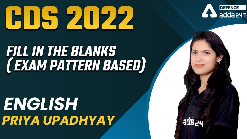## HIS ZIPZ



# **FILL IN THE BLANKS<br>(EXAM PATTERN BASED)**

## ENGLISH PRIYA UPADHYAY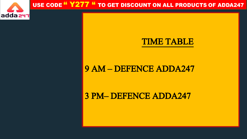

#### USE CODE "Y277 " TO GET DISCOUNT ON ALL PRODUCTS OF ADDA247

#### TIME TABLE

#### 9 AM – DEFENCE ADDA247

3 PM– DEFENCE ADDA247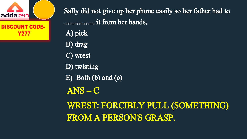

Sally did not give up her phone easily so her father had to ................. it from her hands. A) pick B) drag C) wrest D) twisting E) Both (b) and (c) ANS – C WREST: FORCIBLY PULL (SOMETHING) FROM A PERSON'S GRASP.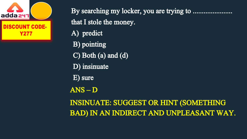

By searching my locker, you are trying to ..................... that I stole the money. A) predict B) pointing C) Both (a) and (d) D) insinuate E) sure ANS – D INSINUATE: SUGGEST OR HINT (SOMETHING BAD) IN AN INDIRECT AND UNPLEASANT WAY.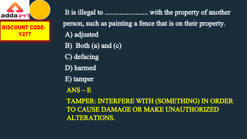

DISCOUNT CODE. Y277

It is illegal to ........................ with the property of another person, such as painting a fence that is on their property. A) adjusted

- B) Both (a) and (c)
- C) defacing
- D) harmed
- E) tamper
- ANS E

TAMPER: INTERFERE WITH (SOMETHING) IN ORDER TO CAUSE DAMAGE OR MAKE UNAUTHORIZED ALTERATIONS.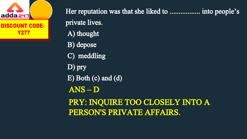

Her reputation was that she liked to .................. into people's private lives. A) thought

B) depose

C) meddling

D) pry

E) Both (c) and (d)

ANS – D

PRY: INQUIRE TOO CLOSELY INTO A PERSON'S PRIVATE AFFAIRS.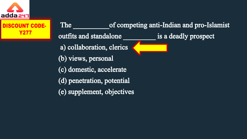

Y277

#### The of competing anti-Indian and pro-Islamist **CODE.** outfits and standalone **less is a deadly prospect** a) collaboration, clerics (b) views, personal (c) domestic, accelerate (d) penetration, potential

(e) supplement, objectives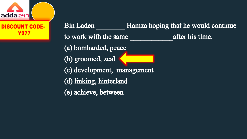

CODE. Y277

Bin Laden Hamza hoping that he would continue to work with the same after his time. (a) bombarded, peace (b) groomed, zeal (c) development, management (d) linking, hinterland (e) achieve, between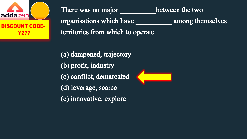

There was no major between the two organisations which have among themselves territories from which to operate.

(a) dampened, trajectory (b) profit, industry (c) conflict, demarcated (d) leverage, scarce (e) innovative, explore

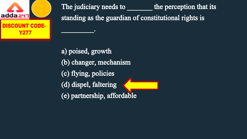

The judiciary needs to the perception that its standing as the guardian of constitutional rights is  $\overline{\phantom{a}}$ 

a) poised, growth (b) changer, mechanism (c) flying, policies (d) dispel, faltering (e) partnership, affordable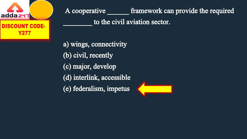

A cooperative framework can provide the required

to the civil aviation sector.

a) wings, connectivity (b) civil, recently (c) major, develop (d) interlink, accessible (e) federalism, impetus

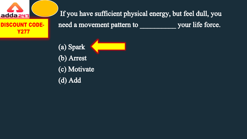

If you have sufficient physical energy, but feel dull, you need a movement pattern to your life force.

(a) Spark (b) Arrest (c) Motivate (d) Add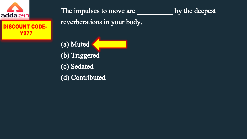

**CODE-**Y277

The impulses to move are <u>seem as by the deepest</u>

reverberations in your body.

(a) Muted (b) Triggered (c) Sedated (d) Contributed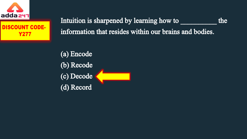



Intuition is sharpened by learning how to the information that resides within our brains and bodies.

(a) Encode (b) Recode (c) Decode (d) Record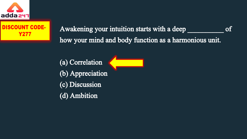

### **Y277**

Awakening your intuition starts with a deep of how your mind and body function as a harmonious unit.

(a) Correlation (b) Appreciation (c) Discussion (d) Ambition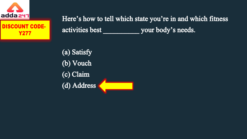



Here's how to tell which state you're in and which fitness activities best your body's needs.

(a) Satisfy (b) Vouch (c) Claim (d) Address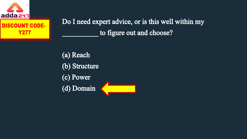

**Y277** 

Do I need expert advice, or is this well within my to figure out and choose?

(a) Reach (b) Structure (c) Power (d) Domain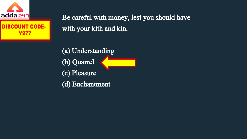



Be careful with money, lest you should have with your kith and kin.

(a) Understanding (b) Quarrel (c) Pleasure (d) Enchantment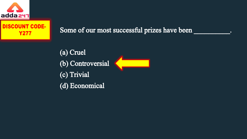

#### CODE-**Y277**

Some of our most successful prizes have been

(a) Cruel (b) Controversial (c) Trivial (d) Economical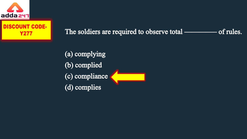



The soldiers are required to observe total ————–of rules.

(a) complying (b) complied (c) compliance (d) complies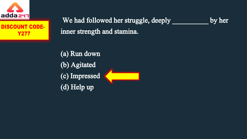



We had followed her struggle, deeply by her inner strength and stamina.

(a) Run down (b) Agitated (c) Impressed (d) Help up